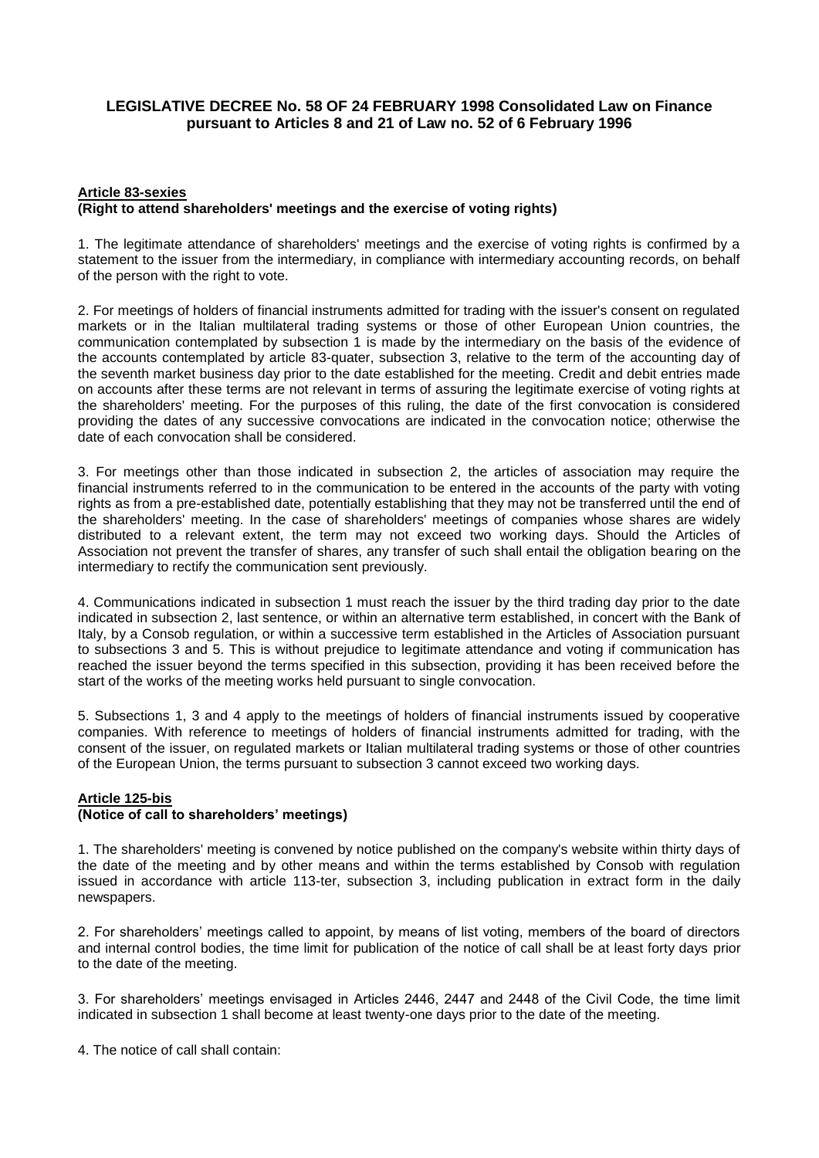# **LEGISLATIVE DECREE No. 58 OF 24 FEBRUARY 1998 Consolidated Law on Finance pursuant to Articles 8 and 21 of Law no. 52 of 6 February 1996**

### **Article 83-sexies (Right to attend shareholders' meetings and the exercise of voting rights)**

1. The legitimate attendance of shareholders' meetings and the exercise of voting rights is confirmed by a statement to the issuer from the intermediary, in compliance with intermediary accounting records, on behalf of the person with the right to vote.

2. For meetings of holders of financial instruments admitted for trading with the issuer's consent on regulated markets or in the Italian multilateral trading systems or those of other European Union countries, the communication contemplated by subsection 1 is made by the intermediary on the basis of the evidence of the accounts contemplated by article 83-quater, subsection 3, relative to the term of the accounting day of the seventh market business day prior to the date established for the meeting. Credit and debit entries made on accounts after these terms are not relevant in terms of assuring the legitimate exercise of voting rights at the shareholders' meeting. For the purposes of this ruling, the date of the first convocation is considered providing the dates of any successive convocations are indicated in the convocation notice; otherwise the date of each convocation shall be considered.

3. For meetings other than those indicated in subsection 2, the articles of association may require the financial instruments referred to in the communication to be entered in the accounts of the party with voting rights as from a pre-established date, potentially establishing that they may not be transferred until the end of the shareholders' meeting. In the case of shareholders' meetings of companies whose shares are widely distributed to a relevant extent, the term may not exceed two working days. Should the Articles of Association not prevent the transfer of shares, any transfer of such shall entail the obligation bearing on the intermediary to rectify the communication sent previously.

4. Communications indicated in subsection 1 must reach the issuer by the third trading day prior to the date indicated in subsection 2, last sentence, or within an alternative term established, in concert with the Bank of Italy, by a Consob regulation, or within a successive term established in the Articles of Association pursuant to subsections 3 and 5. This is without prejudice to legitimate attendance and voting if communication has reached the issuer beyond the terms specified in this subsection, providing it has been received before the start of the works of the meeting works held pursuant to single convocation.

5. Subsections 1, 3 and 4 apply to the meetings of holders of financial instruments issued by cooperative companies. With reference to meetings of holders of financial instruments admitted for trading, with the consent of the issuer, on regulated markets or Italian multilateral trading systems or those of other countries of the European Union, the terms pursuant to subsection 3 cannot exceed two working days.

# **Article 125-bis**

# **(Notice of call to shareholders' meetings)**

1. The shareholders' meeting is convened by notice published on the company's website within thirty days of the date of the meeting and by other means and within the terms established by Consob with regulation issued in accordance with article 113-ter, subsection 3, including publication in extract form in the daily newspapers.

2. For shareholders' meetings called to appoint, by means of list voting, members of the board of directors and internal control bodies, the time limit for publication of the notice of call shall be at least forty days prior to the date of the meeting.

3. For shareholders' meetings envisaged in Articles 2446, 2447 and 2448 of the Civil Code, the time limit indicated in subsection 1 shall become at least twenty-one days prior to the date of the meeting.

4. The notice of call shall contain: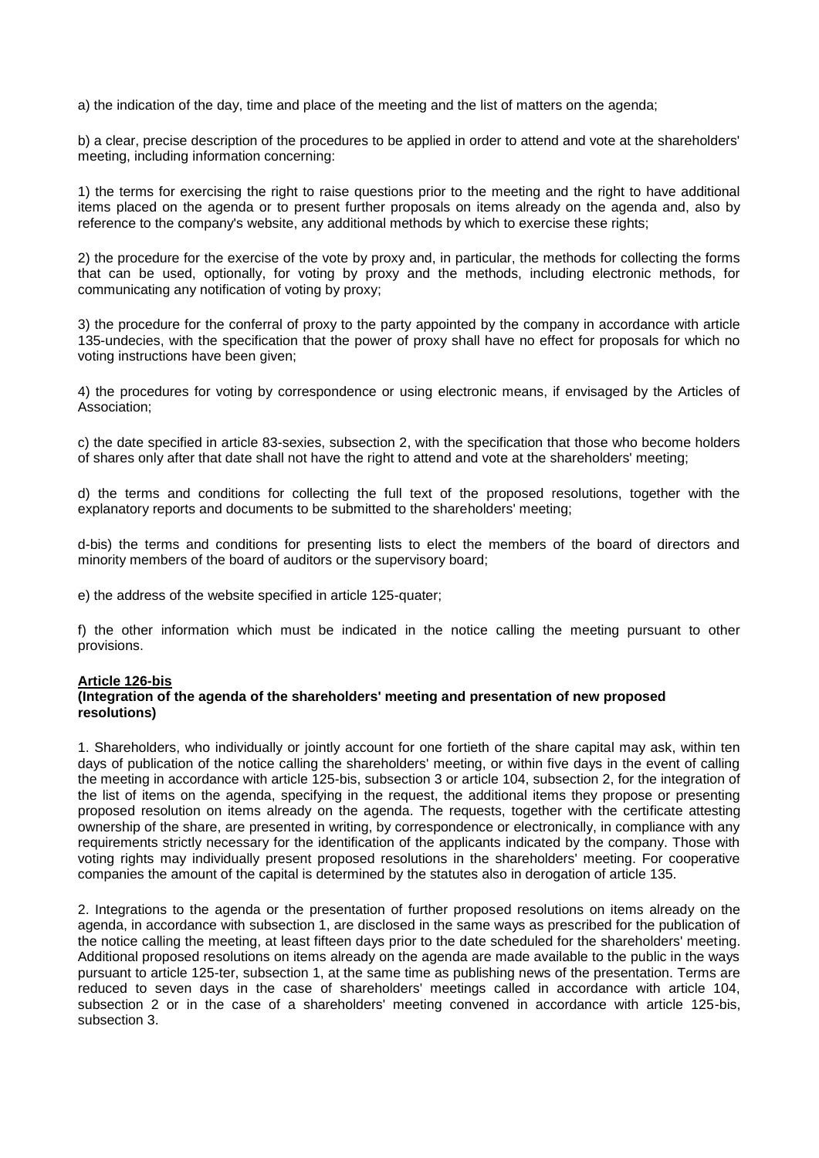a) the indication of the day, time and place of the meeting and the list of matters on the agenda;

b) a clear, precise description of the procedures to be applied in order to attend and vote at the shareholders' meeting, including information concerning:

1) the terms for exercising the right to raise questions prior to the meeting and the right to have additional items placed on the agenda or to present further proposals on items already on the agenda and, also by reference to the company's website, any additional methods by which to exercise these rights;

2) the procedure for the exercise of the vote by proxy and, in particular, the methods for collecting the forms that can be used, optionally, for voting by proxy and the methods, including electronic methods, for communicating any notification of voting by proxy;

3) the procedure for the conferral of proxy to the party appointed by the company in accordance with article 135-undecies, with the specification that the power of proxy shall have no effect for proposals for which no voting instructions have been given;

4) the procedures for voting by correspondence or using electronic means, if envisaged by the Articles of Association;

c) the date specified in article 83-sexies, subsection 2, with the specification that those who become holders of shares only after that date shall not have the right to attend and vote at the shareholders' meeting;

d) the terms and conditions for collecting the full text of the proposed resolutions, together with the explanatory reports and documents to be submitted to the shareholders' meeting;

d-bis) the terms and conditions for presenting lists to elect the members of the board of directors and minority members of the board of auditors or the supervisory board;

e) the address of the website specified in article 125-quater;

f) the other information which must be indicated in the notice calling the meeting pursuant to other provisions.

### **Article 126-bis**

### **(Integration of the agenda of the shareholders' meeting and presentation of new proposed resolutions)**

1. Shareholders, who individually or jointly account for one fortieth of the share capital may ask, within ten days of publication of the notice calling the shareholders' meeting, or within five days in the event of calling the meeting in accordance with article 125-bis, subsection 3 or article 104, subsection 2, for the integration of the list of items on the agenda, specifying in the request, the additional items they propose or presenting proposed resolution on items already on the agenda. The requests, together with the certificate attesting ownership of the share, are presented in writing, by correspondence or electronically, in compliance with any requirements strictly necessary for the identification of the applicants indicated by the company. Those with voting rights may individually present proposed resolutions in the shareholders' meeting. For cooperative companies the amount of the capital is determined by the statutes also in derogation of article 135.

2. Integrations to the agenda or the presentation of further proposed resolutions on items already on the agenda, in accordance with subsection 1, are disclosed in the same ways as prescribed for the publication of the notice calling the meeting, at least fifteen days prior to the date scheduled for the shareholders' meeting. Additional proposed resolutions on items already on the agenda are made available to the public in the ways pursuant to article 125-ter, subsection 1, at the same time as publishing news of the presentation. Terms are reduced to seven days in the case of shareholders' meetings called in accordance with article 104, subsection 2 or in the case of a shareholders' meeting convened in accordance with article 125-bis, subsection 3.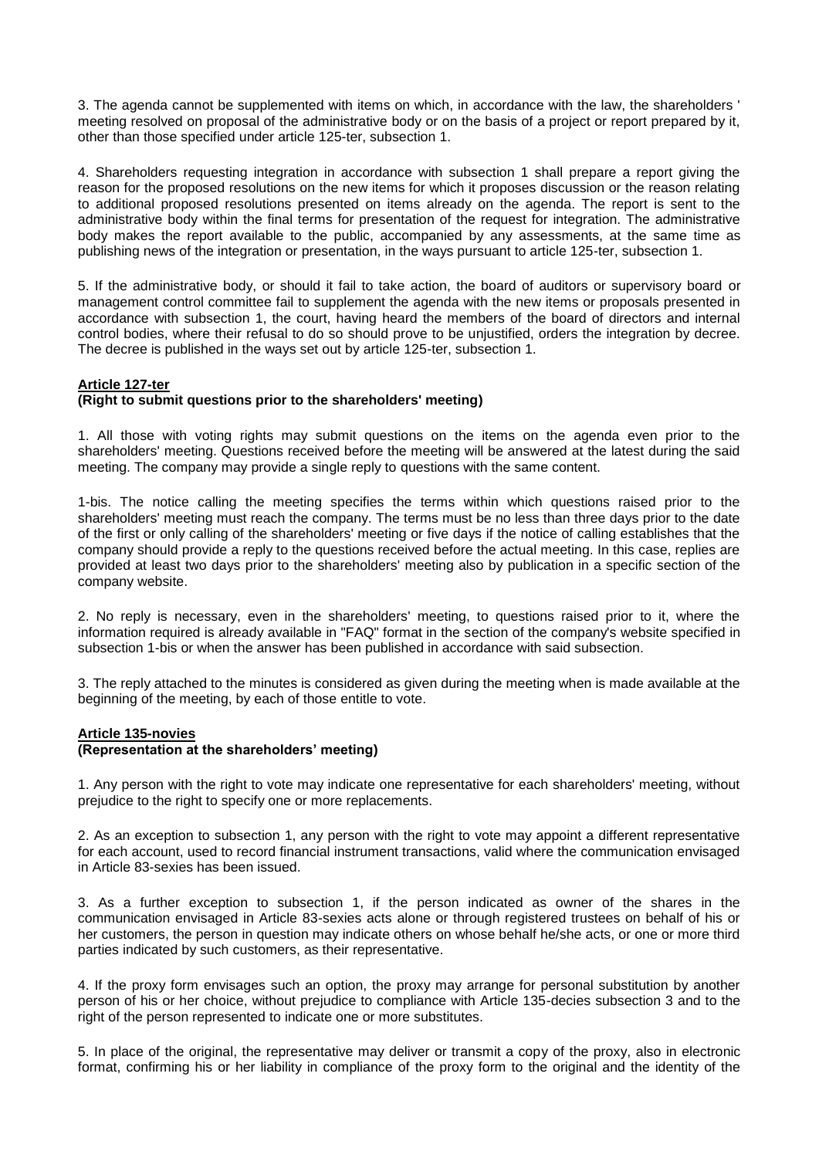3. The agenda cannot be supplemented with items on which, in accordance with the law, the shareholders ' meeting resolved on proposal of the administrative body or on the basis of a project or report prepared by it, other than those specified under article 125-ter, subsection 1.

4. Shareholders requesting integration in accordance with subsection 1 shall prepare a report giving the reason for the proposed resolutions on the new items for which it proposes discussion or the reason relating to additional proposed resolutions presented on items already on the agenda. The report is sent to the administrative body within the final terms for presentation of the request for integration. The administrative body makes the report available to the public, accompanied by any assessments, at the same time as publishing news of the integration or presentation, in the ways pursuant to article 125-ter, subsection 1.

5. If the administrative body, or should it fail to take action, the board of auditors or supervisory board or management control committee fail to supplement the agenda with the new items or proposals presented in accordance with subsection 1, the court, having heard the members of the board of directors and internal control bodies, where their refusal to do so should prove to be unjustified, orders the integration by decree. The decree is published in the ways set out by article 125-ter, subsection 1.

### **Article 127-ter**

### **(Right to submit questions prior to the shareholders' meeting)**

1. All those with voting rights may submit questions on the items on the agenda even prior to the shareholders' meeting. Questions received before the meeting will be answered at the latest during the said meeting. The company may provide a single reply to questions with the same content.

1-bis. The notice calling the meeting specifies the terms within which questions raised prior to the shareholders' meeting must reach the company. The terms must be no less than three days prior to the date of the first or only calling of the shareholders' meeting or five days if the notice of calling establishes that the company should provide a reply to the questions received before the actual meeting. In this case, replies are provided at least two days prior to the shareholders' meeting also by publication in a specific section of the company website.

2. No reply is necessary, even in the shareholders' meeting, to questions raised prior to it, where the information required is already available in "FAQ" format in the section of the company's website specified in subsection 1-bis or when the answer has been published in accordance with said subsection.

3. The reply attached to the minutes is considered as given during the meeting when is made available at the beginning of the meeting, by each of those entitle to vote.

### **Article 135-novies**

### **(Representation at the shareholders' meeting)**

1. Any person with the right to vote may indicate one representative for each shareholders' meeting, without prejudice to the right to specify one or more replacements.

2. As an exception to subsection 1, any person with the right to vote may appoint a different representative for each account, used to record financial instrument transactions, valid where the communication envisaged in Article 83-sexies has been issued.

3. As a further exception to subsection 1, if the person indicated as owner of the shares in the communication envisaged in Article 83-sexies acts alone or through registered trustees on behalf of his or her customers, the person in question may indicate others on whose behalf he/she acts, or one or more third parties indicated by such customers, as their representative.

4. If the proxy form envisages such an option, the proxy may arrange for personal substitution by another person of his or her choice, without prejudice to compliance with Article 135-decies subsection 3 and to the right of the person represented to indicate one or more substitutes.

5. In place of the original, the representative may deliver or transmit a copy of the proxy, also in electronic format, confirming his or her liability in compliance of the proxy form to the original and the identity of the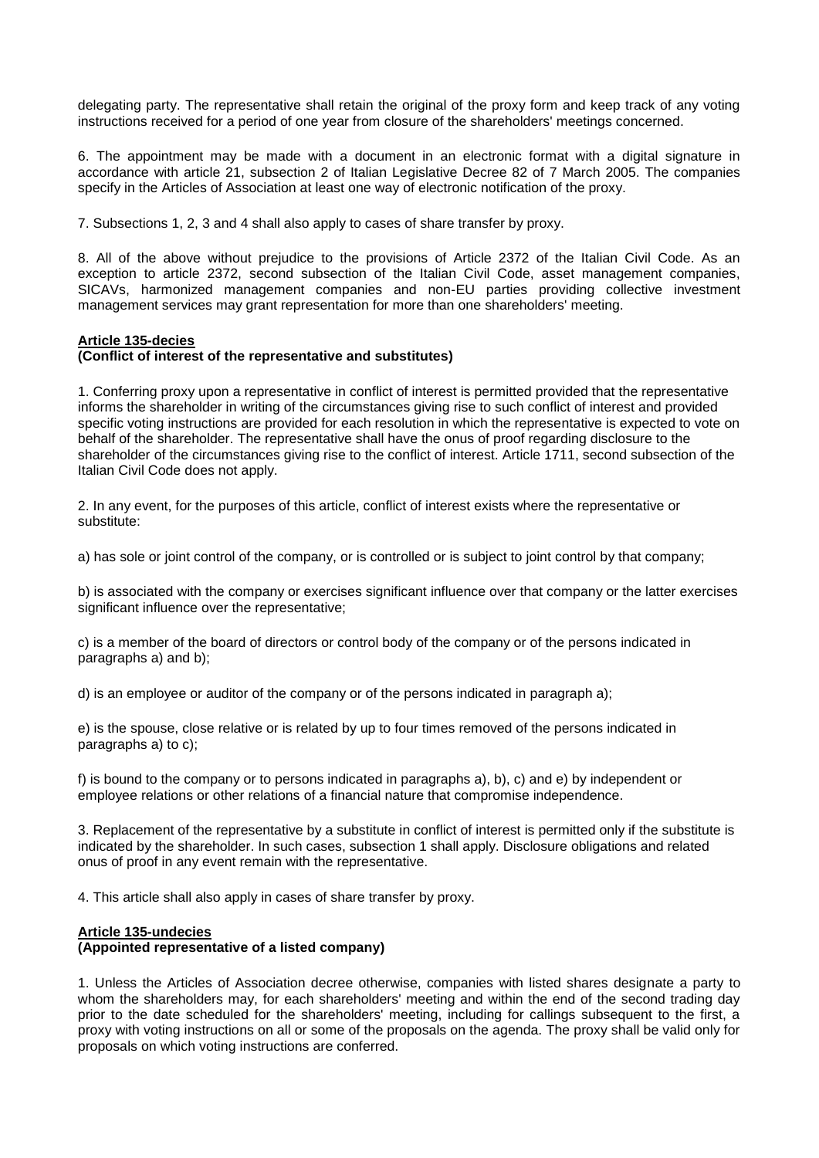delegating party. The representative shall retain the original of the proxy form and keep track of any voting instructions received for a period of one year from closure of the shareholders' meetings concerned.

6. The appointment may be made with a document in an electronic format with a digital signature in accordance with article 21, subsection 2 of Italian Legislative Decree 82 of 7 March 2005. The companies specify in the Articles of Association at least one way of electronic notification of the proxy.

7. Subsections 1, 2, 3 and 4 shall also apply to cases of share transfer by proxy.

8. All of the above without prejudice to the provisions of Article 2372 of the Italian Civil Code. As an exception to article 2372, second subsection of the Italian Civil Code, asset management companies, SICAVs, harmonized management companies and non-EU parties providing collective investment management services may grant representation for more than one shareholders' meeting.

### **Article 135-decies**

### **(Conflict of interest of the representative and substitutes)**

1. Conferring proxy upon a representative in conflict of interest is permitted provided that the representative informs the shareholder in writing of the circumstances giving rise to such conflict of interest and provided specific voting instructions are provided for each resolution in which the representative is expected to vote on behalf of the shareholder. The representative shall have the onus of proof regarding disclosure to the shareholder of the circumstances giving rise to the conflict of interest. Article 1711, second subsection of the Italian Civil Code does not apply.

2. In any event, for the purposes of this article, conflict of interest exists where the representative or substitute:

a) has sole or joint control of the company, or is controlled or is subject to joint control by that company;

b) is associated with the company or exercises significant influence over that company or the latter exercises significant influence over the representative;

c) is a member of the board of directors or control body of the company or of the persons indicated in paragraphs a) and b);

d) is an employee or auditor of the company or of the persons indicated in paragraph a);

e) is the spouse, close relative or is related by up to four times removed of the persons indicated in paragraphs a) to c);

f) is bound to the company or to persons indicated in paragraphs a), b), c) and e) by independent or employee relations or other relations of a financial nature that compromise independence.

3. Replacement of the representative by a substitute in conflict of interest is permitted only if the substitute is indicated by the shareholder. In such cases, subsection 1 shall apply. Disclosure obligations and related onus of proof in any event remain with the representative.

4. This article shall also apply in cases of share transfer by proxy.

### **Article 135-undecies**

### **(Appointed representative of a listed company)**

1. Unless the Articles of Association decree otherwise, companies with listed shares designate a party to whom the shareholders may, for each shareholders' meeting and within the end of the second trading day prior to the date scheduled for the shareholders' meeting, including for callings subsequent to the first, a proxy with voting instructions on all or some of the proposals on the agenda. The proxy shall be valid only for proposals on which voting instructions are conferred.